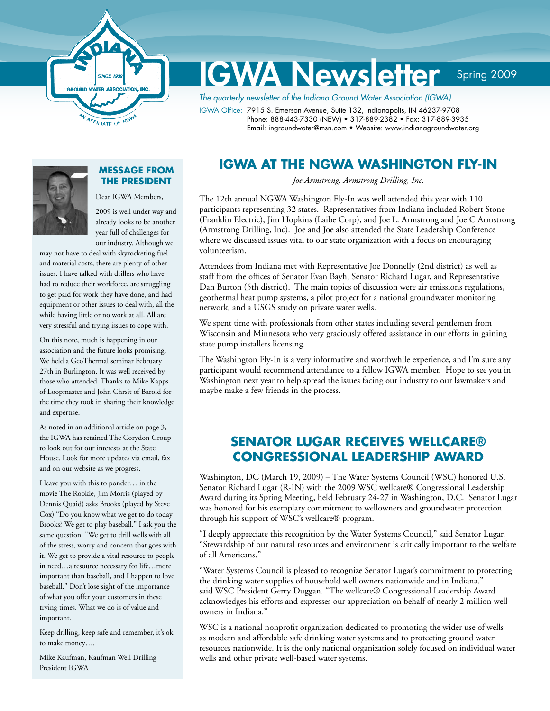

# IGWA News etter Spring 2009

*The quarterly newsletter of the Indiana Ground Water Association (IGWA)* 

IGWA Office: 7915 S. Emerson Avenue, Suite 132, Indianapolis, IN 46237-9708 Phone: 888-443-7330 (NEW) • 317-889-2382 • Fax: 317-889-3935 Email: ingroundwater@msn.com • Website: www.indianagroundwater.org

## **IGWA at the NGWA Washington Fly-In**

*Joe Armstrong, Armstrong Drilling, Inc.*

The 12th annual NGWA Washington Fly-In was well attended this year with 110 participants representing 32 states. Representatives from Indiana included Robert Stone (Franklin Electric), Jim Hopkins (Laibe Corp), and Joe L. Armstrong and Joe C Armstrong (Armstrong Drilling, Inc). Joe and Joe also attended the State Leadership Conference where we discussed issues vital to our state organization with a focus on encouraging volunteerism.

Attendees from Indiana met with Representative Joe Donnelly (2nd district) as well as staff from the offices of Senator Evan Bayh, Senator Richard Lugar, and Representative Dan Burton (5th district). The main topics of discussion were air emissions regulations, geothermal heat pump systems, a pilot project for a national groundwater monitoring network, and a USGS study on private water wells.

We spent time with professionals from other states including several gentlemen from Wisconsin and Minnesota who very graciously offered assistance in our efforts in gaining state pump installers licensing.

The Washington Fly-In is a very informative and worthwhile experience, and I'm sure any participant would recommend attendance to a fellow IGWA member. Hope to see you in Washington next year to help spread the issues facing our industry to our lawmakers and maybe make a few friends in the process.

### **Senator Lugar Receives wellcare® Congressional Leadership Award**

Washington, DC (March 19, 2009) – The Water Systems Council (WSC) honored U.S. Senator Richard Lugar (R-IN) with the 2009 WSC wellcare® Congressional Leadership Award during its Spring Meeting, held February 24-27 in Washington, D.C. Senator Lugar was honored for his exemplary commitment to wellowners and groundwater protection through his support of WSC's wellcare® program.

"I deeply appreciate this recognition by the Water Systems Council," said Senator Lugar. "Stewardship of our natural resources and environment is critically important to the welfare of all Americans."

"Water Systems Council is pleased to recognize Senator Lugar's commitment to protecting the drinking water supplies of household well owners nationwide and in Indiana," said WSC President Gerry Duggan. "The wellcare® Congressional Leadership Award acknowledges his efforts and expresses our appreciation on behalf of nearly 2 million well owners in Indiana."

WSC is a national nonprofit organization dedicated to promoting the wider use of wells as modern and affordable safe drinking water systems and to protecting ground water resources nationwide. It is the only national organization solely focused on individual water wells and other private well-based water systems.



### **Message from the President**

Dear IGWA Members,

2009 is well under way and already looks to be another year full of challenges for our industry. Although we

may not have to deal with skyrocketing fuel and material costs, there are plenty of other issues. I have talked with drillers who have had to reduce their workforce, are struggling to get paid for work they have done, and had equipment or other issues to deal with, all the while having little or no work at all. All are very stressful and trying issues to cope with.

On this note, much is happening in our association and the future looks promising. We held a GeoThermal seminar February 27th in Burlington. It was well received by those who attended. Thanks to Mike Kapps of Loopmaster and John Chrsit of Baroid for the time they took in sharing their knowledge and expertise.

As noted in an additional article on page 3, the IGWA has retained The Corydon Group to look out for our interests at the State House. Look for more updates via email, fax and on our website as we progress.

I leave you with this to ponder… in the movie The Rookie, Jim Morris (played by Dennis Quaid) asks Brooks (played by Steve Cox) "Do you know what we get to do today Brooks? We get to play baseball." I ask you the same question. "We get to drill wells with all of the stress, worry and concern that goes with it. We get to provide a vital resource to people in need…a resource necessary for life…more important than baseball, and I happen to love baseball." Don't lose sight of the importance of what you offer your customers in these trying times. What we do is of value and important.

Keep drilling, keep safe and remember, it's ok to make money….

Mike Kaufman, Kaufman Well Drilling President IGWA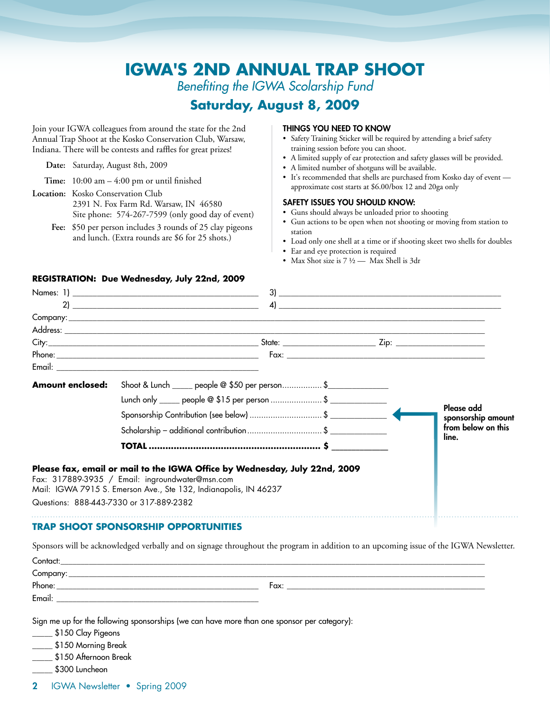# **IGWA's 2nd Annual TRAP SHOOT**

*Benefiting the IGWA Scolarship Fund*

### **Saturday, August 8, 2009**

Join your IGWA colleagues from around the state for the 2nd Annual Trap Shoot at the Kosko Conservation Club, Warsaw, Indiana. There will be contests and raffles for great prizes!

**Date:** Saturday, August 8th, 2009

**Time:** 10:00 am – 4:00 pm or until finished

**Location:** Kosko Conservation Club 2391 N. Fox Farm Rd. Warsaw, IN 46580 Site phone: 574-267-7599 (only good day of event)

**Fee:** \$50 per person includes 3 rounds of 25 clay pigeons and lunch. (Extra rounds are \$6 for 25 shots.)

#### THINGS YOU NEED TO KNOW

- Safety Training Sticker will be required by attending a brief safety training session before you can shoot.
- • A limited supply of ear protection and safety glasses will be provided.
- • A limited number of shotguns will be available.
- It's recommended that shells are purchased from Kosko day of event approximate cost starts at \$6.00/box 12 and 20ga only

#### Safety Issues You Should Know:

- • Guns should always be unloaded prior to shooting
- • Gun actions to be open when not shooting or moving from station to station
- • Load only one shell at a time or if shooting skeet two shells for doubles
- Ear and eye protection is required
- Max Shot size is  $7\frac{1}{2}$  Max Shell is 3dr

### Names: 1) \_\_\_\_\_\_\_\_\_\_\_\_\_\_\_\_\_\_\_\_\_\_\_\_\_\_\_\_\_\_\_\_\_\_\_\_\_\_\_\_\_\_\_\_\_\_ 3) \_\_\_\_\_\_\_\_\_\_\_\_\_\_\_\_\_\_\_\_\_\_\_\_\_\_\_\_\_\_\_\_\_\_\_\_\_\_\_\_\_\_\_\_\_\_\_\_\_\_\_\_\_\_\_ 2)  $\frac{4}{2}$ Company: Address: \_\_\_\_\_\_\_\_\_\_\_\_\_\_\_\_\_\_\_\_\_\_\_\_\_\_\_\_\_\_\_\_\_\_\_\_\_\_\_\_\_\_\_\_\_\_\_\_\_\_\_\_\_\_\_\_\_\_\_\_\_\_\_\_\_\_\_\_\_\_\_\_\_\_\_\_\_\_\_\_\_\_\_\_\_\_\_\_\_\_\_\_\_\_\_\_\_\_\_\_\_\_\_\_ City:\_\_\_\_\_\_\_\_\_\_\_\_\_\_\_\_\_\_\_\_\_\_\_\_\_\_\_\_\_\_\_\_\_\_\_\_\_\_\_\_\_\_\_\_\_\_\_\_\_\_\_\_ State: \_\_\_\_\_\_\_\_\_\_\_\_\_\_\_\_\_\_\_\_\_\_\_ Zip: \_\_\_\_\_\_\_\_\_\_\_\_\_\_\_\_\_\_\_\_\_\_ Phone: \_\_\_\_\_\_\_\_\_\_\_\_\_\_\_\_\_\_\_\_\_\_\_\_\_\_\_\_\_\_\_\_\_\_\_\_\_\_\_\_\_\_\_\_\_\_\_\_\_\_ Fax: \_\_\_\_\_\_\_\_\_\_\_\_\_\_\_\_\_\_\_\_\_\_\_\_\_\_\_\_\_\_\_\_\_\_\_\_\_\_\_\_\_\_\_\_\_\_\_\_\_ Email: \_\_\_\_\_\_\_\_\_\_\_\_\_\_\_\_\_\_\_\_\_\_\_\_\_\_\_\_\_\_\_\_\_\_\_\_\_\_\_\_\_\_\_\_\_\_\_\_\_\_ **Amount enclosed:** Shoot & Lunch \_\_\_\_\_ people @ \$50 per person................. \$\_\_\_\_\_\_\_\_\_\_\_\_\_\_\_ Lunch only \_\_\_\_\_ people @ \$15 per person ...................... \$ \_\_\_\_\_\_\_\_\_\_\_\_\_\_ Please add Sponsorship Contribution (see below) ............................... \$ \_\_\_\_\_\_\_\_\_\_\_\_\_\_ sponsorship amount from below on this Scholarship – additional contribution..................................\$ line.**Total .............................................................. \$ \_\_\_\_\_\_\_\_\_\_\_\_\_\_ Please fax, email or mail to the IGWA Office by Wednesday, July 22nd, 2009** Fax: 317889-3935 / Email: ingroundwater@msn.com Mail: IGWA 7915 S. Emerson Ave., Ste 132, Indianapolis, IN 46237 Questions: 888-443-7330 or 317-889-2382 **Trap Shoot SPONSORSHIP OPPORTUNITIES**

Sponsors will be acknowledged verbally and on signage throughout the program in addition to an upcoming issue of the IGWA Newsletter.

Contact:\_\_\_\_\_\_\_\_\_\_\_\_\_\_\_\_\_\_\_\_\_\_\_\_\_\_\_\_\_\_\_\_\_\_\_\_\_\_\_\_\_\_\_\_\_\_\_\_\_\_\_\_\_\_\_\_\_\_\_\_\_\_\_\_\_\_\_\_\_\_\_\_\_\_\_\_\_\_\_\_\_\_\_\_\_\_\_\_\_\_\_\_\_\_\_\_\_\_\_\_\_\_\_\_\_

Company:\_\_\_\_\_\_\_\_\_\_\_\_\_\_\_\_\_\_\_\_\_\_\_\_\_\_\_\_\_\_\_\_\_\_\_\_\_\_\_\_\_\_\_\_\_\_\_\_\_\_\_\_\_\_\_\_\_\_\_\_\_\_\_\_\_\_\_\_\_\_\_\_\_\_\_\_\_\_\_\_\_\_\_\_\_\_\_\_\_\_\_\_\_\_\_\_\_\_\_\_\_\_\_

Phone: \_\_\_\_\_\_\_\_\_\_\_\_\_\_\_\_\_\_\_\_\_\_\_\_\_\_\_\_\_\_\_\_\_\_\_\_\_\_\_\_\_\_\_\_\_\_\_\_\_\_ Fax: \_\_\_\_\_\_\_\_\_\_\_\_\_\_\_\_\_\_\_\_\_\_\_\_\_\_\_\_\_\_\_\_\_\_\_\_\_\_\_\_\_\_\_\_\_\_\_\_\_

Email: \_\_\_\_\_\_\_\_\_\_\_\_\_\_\_\_\_\_\_\_\_\_\_\_\_\_\_\_\_\_\_\_\_\_\_\_\_\_\_\_\_\_\_\_\_\_\_\_\_\_

Sign me up for the following sponsorships (we can have more than one sponsor per category):

\_\_\_\_\_ \$150 Clay Pigeons

\_\_\_\_\_ \$150 Morning Break

\_\_\_\_\_ \$150 Afternoon Break

\_\_\_\_\_ \$300 Luncheon

2 IGWA Newsletter • Spring 2009

#### **Registration: Due Wednesday, July 22nd, 2009**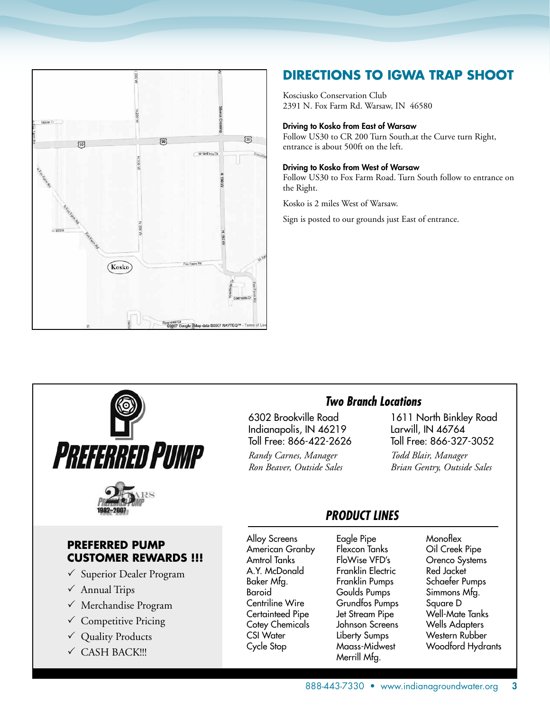

# **Directions to IGWA Trap Shoot**

Kosciusko Conservation Club 2391 N. Fox Farm Rd. Warsaw, IN 46580

#### Driving to Kosko from East of Warsaw

Follow US30 to CR 200 Turn South,at the Curve turn Right, entrance is about 500ft on the left.

### Driving to Kosko from West of Warsaw

Follow US30 to Fox Farm Road. Turn South follow to entrance on the Right.

Kosko is 2 miles West of Warsaw.

Sign is posted to our grounds just East of entrance.





### **PREFERRED PUMP CUSTOMER REWARDS !!!**

- $\checkmark$  Superior Dealer Program
- $\checkmark$  Annual Trips
- $\checkmark$  Merchandise Program
- $\checkmark$  Competitive Pricing
- $\checkmark$  Quality Products
- $\checkmark$  CASH BACK!!!

### **Two Branch Locations**

6302 Brookville Road Indianapolis, IN 46219 Toll Free: 866-422-2626 *Randy Carnes, Manager Ron Beaver, Outside Sales*

1611 North Binkley Road Larwill, IN 46764 Toll Free: 866-327-3052 *Todd Blair, Manager*

*Brian Gentry, Outside Sales*

### **PRODUCT LINES**

Alloy Screens American Granby Amtrol Tanks A.Y. McDonald Baker Mfg. Baroid Centriline Wire Certainteed Pipe Cotey Chemicals CSI Water Cycle Stop

Eagle Pipe Flexcon Tanks FloWise VFD's Franklin Electric Franklin Pumps Goulds Pumps Grundfos Pumps Jet Stream Pipe Johnson Screens Liberty Sumps Maass-Midwest Merrill Mfg.

Monoflex Oil Creek Pipe Orenco Systems Red Jacket Schaefer Pumps Simmons Mfg. Square D Well-Mate Tanks Wells Adapters Western Rubber Woodford Hydrants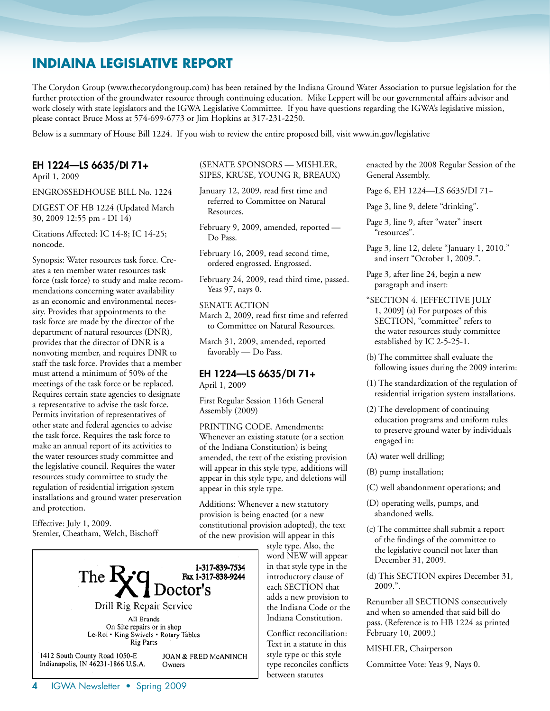### **Indiaina Legislative Report**

The Corydon Group (www.thecorydongroup.com) has been retained by the Indiana Ground Water Association to pursue legislation for the further protection of the groundwater resource through continuing education. Mike Leppert will be our governmental affairs advisor and work closely with state legislators and the IGWA Legislative Committee. If you have questions regarding the IGWA's legislative mission, please contact Bruce Moss at 574-699-6773 or Jim Hopkins at 317-231-2250.

Below is a summary of House Bill 1224. If you wish to review the entire proposed bill, visit www.in.gov/legislative

### EH 1224—LS 6635/DI 71+

April 1, 2009

ENGROSSEDHOUSE BILL No. 1224

DIGEST OF HB 1224 (Updated March 30, 2009 12:55 pm - DI 14)

Citations Affected: IC 14-8; IC 14-25; noncode.

Synopsis: Water resources task force. Creates a ten member water resources task force (task force) to study and make recommendations concerning water availability as an economic and environmental necessity. Provides that appointments to the task force are made by the director of the department of natural resources (DNR), provides that the director of DNR is a nonvoting member, and requires DNR to staff the task force. Provides that a member must attend a minimum of 50% of the meetings of the task force or be replaced. Requires certain state agencies to designate a representative to advise the task force. Permits invitation of representatives of other state and federal agencies to advise the task force. Requires the task force to make an annual report of its activities to the water resources study committee and the legislative council. Requires the water resources study committee to study the regulation of residential irrigation system installations and ground water preservation and protection.

Effective: July 1, 2009. Stemler, Cheatham, Welch, Bischoff

#### (SENATE SPONSORS — MISHLER, SIPES, KRUSE, YOUNG R, BREAUX)

January 12, 2009, read first time and referred to Committee on Natural Resources.

February 9, 2009, amended, reported — Do Pass.

February 16, 2009, read second time, ordered engrossed. Engrossed.

February 24, 2009, read third time, passed. Yeas 97, nays 0.

SENATE ACTION March 2, 2009, read first time and referred to Committee on Natural Resources.

March 31, 2009, amended, reported favorably — Do Pass.

#### EH 1224—LS 6635/DI 71+ April 1, 2009

First Regular Session 116th General Assembly (2009)

PRINTING CODE. Amendments: Whenever an existing statute (or a section of the Indiana Constitution) is being amended, the text of the existing provision will appear in this style type, additions will appear in this style type, and deletions will appear in this style type.

Additions: Whenever a new statutory provision is being enacted (or a new constitutional provision adopted), the text of the new provision will appear in this



style type. Also, the word NEW will appear in that style type in the introductory clause of each SECTION that adds a new provision to the Indiana Code or the Indiana Constitution.

Conflict reconciliation: Text in a statute in this style type or this style type reconciles conflicts between statutes

enacted by the 2008 Regular Session of the General Assembly.

Page 6, EH 1224—LS 6635/DI 71+

Page 3, line 9, delete "drinking".

Page 3, line 9, after "water" insert "resources".

Page 3, line 12, delete "January 1, 2010." and insert "October 1, 2009.".

Page 3, after line 24, begin a new paragraph and insert:

- "SECTION 4. [EFFECTIVE JULY 1, 2009] (a) For purposes of this SECTION, "committee" refers to the water resources study committee established by IC 2-5-25-1.
- (b) The committee shall evaluate the following issues during the 2009 interim:
- (1) The standardization of the regulation of residential irrigation system installations.
- (2) The development of continuing education programs and uniform rules to preserve ground water by individuals engaged in:
- (A) water well drilling;
- (B) pump installation;
- (C) well abandonment operations; and
- (D) operating wells, pumps, and abandoned wells.
- (c) The committee shall submit a report of the findings of the committee to the legislative council not later than December 31, 2009.
- (d) This SECTION expires December 31, 2009.".

Renumber all SECTIONS consecutively and when so amended that said bill do pass. (Reference is to HB 1224 as printed February 10, 2009.)

MISHLER, Chairperson

Committee Vote: Yeas 9, Nays 0.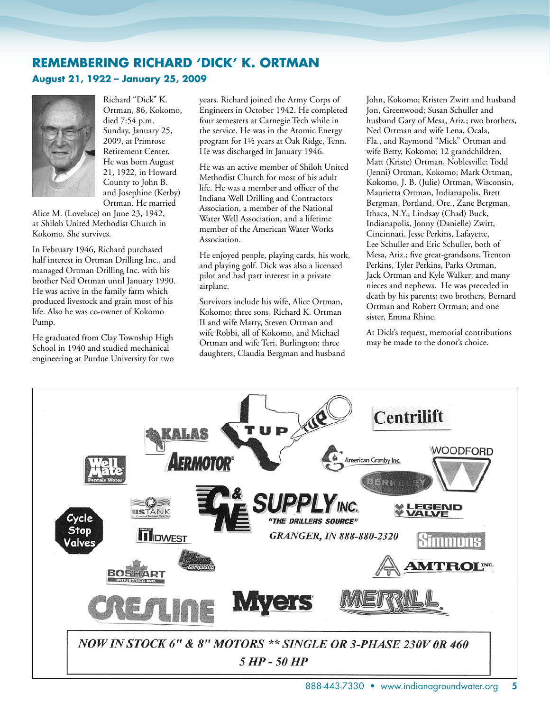## **Remembering Richard 'Dick' K. Ortman**

### **August 21, 1922 – January 25, 2009**



Richard "Dick" K. Ortman, 86, Kokomo, died 7:54 p.m. Sunday, January 25, 2009, at Primrose Retirement Center. He was born August 21, 1922, in Howard County to John B. and Josephine (Kerby) Ortman. He married

Alice M. (Lovelace) on June 23, 1942, at Shiloh United Methodist Church in Kokomo. She survives.

In February 1946, Richard purchased half interest in Ortman Drilling Inc., and managed Ortman Drilling Inc. with his brother Ned Ortman until January 1990. He was active in the family farm which produced livestock and grain most of his life. Also he was co-owner of Kokomo Pump.

He graduated from Clay Township High School in 1940 and studied mechanical engineering at Purdue University for two years. Richard joined the Army Corps of Engineers in October 1942. He completed four semesters at Carnegie Tech while in the service. He was in the Atomic Energy program for 1½ years at Oak Ridge, Tenn. He was discharged in January 1946.

He was an active member of Shiloh United Methodist Church for most of his adult life. He was a member and officer of the Indiana Well Drilling and Contractors Association, a member of the National Water Well Association, and a lifetime member of the American Water Works Association.

He enjoyed people, playing cards, his work, and playing golf. Dick was also a licensed pilot and had part interest in a private airplane.

Survivors include his wife, Alice Ortman, Kokomo; three sons, Richard K. Ortman II and wife Marty, Steven Ortman and wife Robbi, all of Kokomo, and Michael Ortman and wife Teri, Burlington; three daughters, Claudia Bergman and husband John, Kokomo; Kristen Zwitt and husband Jon, Greenwood; Susan Schuller and husband Gary of Mesa, Ariz.; two brothers, Ned Ortman and wife Lena, Ocala, Fla., and Raymond "Mick" Ortman and wife Betty, Kokomo; 12 grandchildren, Matt (Kriste) Ortman, Noblesville; Todd (Jenni) Ortman, Kokomo; Mark Ortman, Kokomo, J. B. (Julie) Ortman, Wisconsin, Maurietta Ortman, Indianapolis, Brett Bergman, Portland, Ore., Zane Bergman, Ithaca, N.Y.; Lindsay (Chad) Buck, Indianapolis, Jonny (Danielle) Zwitt, Cincinnati, Jesse Perkins, Lafayette, Lee Schuller and Eric Schuller, both of Mesa, Ariz.; five great-grandsons, Trenton Perkins, Tyler Perkins, Parks Ortman, Jack Ortman and Kyle Walker; and many nieces and nephews. He was preceded in death by his parents; two brothers, Bernard Ortman and Robert Ortman; and one sister, Emma Rhine.

At Dick's request, memorial contributions may be made to the donor's choice.

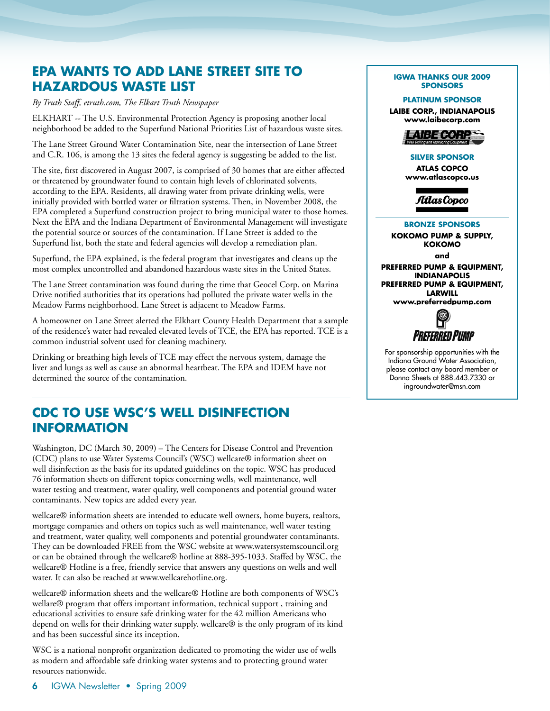### **EPA wants to add Lane Street site to hazardous waste list**

*By Truth Staff, etruth.com, The Elkart Truth Newspaper*

ELKHART -- The U.S. Environmental Protection Agency is proposing another local neighborhood be added to the Superfund National Priorities List of hazardous waste sites.

The Lane Street Ground Water Contamination Site, near the intersection of Lane Street and C.R. 106, is among the 13 sites the federal agency is suggesting be added to the list.

The site, first discovered in August 2007, is comprised of 30 homes that are either affected or threatened by groundwater found to contain high levels of chlorinated solvents, according to the EPA. Residents, all drawing water from private drinking wells, were initially provided with bottled water or filtration systems. Then, in November 2008, the EPA completed a Superfund construction project to bring municipal water to those homes. Next the EPA and the Indiana Department of Environmental Management will investigate the potential source or sources of the contamination. If Lane Street is added to the Superfund list, both the state and federal agencies will develop a remediation plan.

Superfund, the EPA explained, is the federal program that investigates and cleans up the most complex uncontrolled and abandoned hazardous waste sites in the United States.

The Lane Street contamination was found during the time that Geocel Corp. on Marina Drive notified authorities that its operations had polluted the private water wells in the Meadow Farms neighborhood. Lane Street is adjacent to Meadow Farms.

A homeowner on Lane Street alerted the Elkhart County Health Department that a sample of the residence's water had revealed elevated levels of TCE, the EPA has reported. TCE is a common industrial solvent used for cleaning machinery.

Drinking or breathing high levels of TCE may effect the nervous system, damage the liver and lungs as well as cause an abnormal heartbeat. The EPA and IDEM have not determined the source of the contamination.

### **CDC to Use WSC's Well Disinfection Information**

Washington, DC (March 30, 2009) – The Centers for Disease Control and Prevention (CDC) plans to use Water Systems Council's (WSC) wellcare® information sheet on well disinfection as the basis for its updated guidelines on the topic. WSC has produced 76 information sheets on different topics concerning wells, well maintenance, well water testing and treatment, water quality, well components and potential ground water contaminants. New topics are added every year.

wellcare® information sheets are intended to educate well owners, home buyers, realtors, mortgage companies and others on topics such as well maintenance, well water testing and treatment, water quality, well components and potential groundwater contaminants. They can be downloaded FREE from the WSC website at www.watersystemscouncil.org or can be obtained through the wellcare® hotline at 888-395-1033. Staffed by WSC, the wellcare® Hotline is a free, friendly service that answers any questions on wells and well water. It can also be reached at www.wellcarehotline.org.

wellcare® information sheets and the wellcare® Hotline are both components of WSC's wellare® program that offers important information, technical support , training and educational activities to ensure safe drinking water for the 42 million Americans who depend on wells for their drinking water supply. wellcare® is the only program of its kind and has been successful since its inception.

WSC is a national nonprofit organization dedicated to promoting the wider use of wells as modern and affordable safe drinking water systems and to protecting ground water resources nationwide.

#### **IGWA thanks our 2009 sponsors**

#### **PLATINUM SPONSOR**

**LAIBE CORP., INDIANAPOLIS www.laibecorp.com**



#### **Silver SPONSOR**

**Atlas Copco www.atlascopco.us**

Atlas Copco

#### **BRONZE SPONSORS**

**KOKOMO PUMP & SUPPLY, KOKOMO**

**and**

**PREFERRED PUMP & Equipment, INDIANAPOLIS PREFERRED PUMP & Equipment, LARWILL www.preferredpump.com**



For sponsorship opportunities with the Indiana Ground Water Association, please contact any board member or Donna Sheets at 888.443.7330 or ingroundwater@msn.com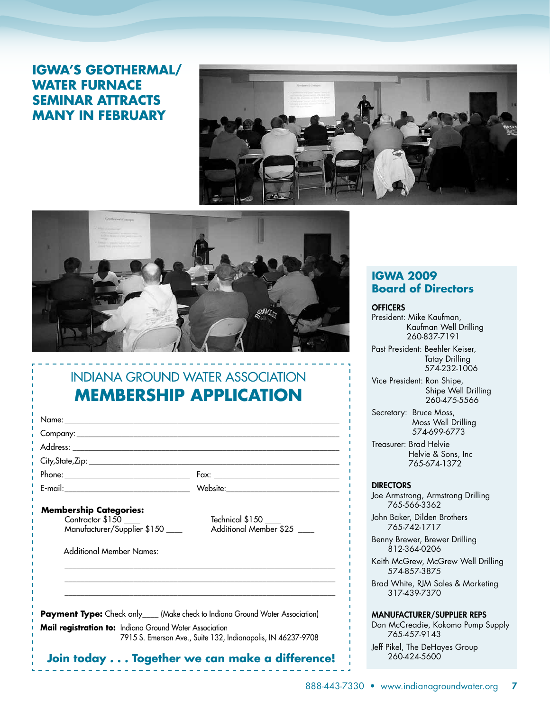### **IGWA'S GeoThermal/ Water Furnace Seminar attracts many in February**





# Indiana Ground Water Association **Membership APplication**

| Address: Note and the second contract of the second contract of the second contract of the second contract of the second contract of the second contract of the second contract of the second contract of the second contract |                                           |
|-------------------------------------------------------------------------------------------------------------------------------------------------------------------------------------------------------------------------------|-------------------------------------------|
|                                                                                                                                                                                                                               |                                           |
|                                                                                                                                                                                                                               |                                           |
|                                                                                                                                                                                                                               |                                           |
| <b>Membership Categories:</b><br>Contractor $$150$ $\_\_\_\_\_\$<br>Manufacturer/Supplier \$150<br><b>Additional Member Names:</b>                                                                                            | Technical \$150<br>Additional Member \$25 |
|                                                                                                                                                                                                                               |                                           |

**Payment Type:** Check only\_\_\_\_ (Make check to Indiana Ground Water Association)

**Mail registration to:** Indiana Ground Water Association 7915 S. Emerson Ave., Suite 132, Indianapolis, IN 46237-9708

**Join today . . . Together we can make a difference!**

### **IGWA 2009 Board of Directors**

**OFFICERS** 

President: Mike Kaufman, Kaufman Well Drilling 260-837-7191

Past President: Beehler Keiser, Tatay Drilling 574-232-1006

Vice President: Ron Shipe, Shipe Well Drilling 260-475-5566

Secretary: Bruce Moss, Moss Well Drilling 574-699-6773

Treasurer: Brad Helvie Helvie & Sons, Inc 765-674-1372

#### **DIRECTORS**

Joe Armstrong, Armstrong Drilling 765-566-3362

John Baker, Dilden Brothers 765-742-1717

Benny Brewer, Brewer Drilling 812-364-0206

Keith McGrew, McGrew Well Drilling 574-857-3875

Brad White, RJM Sales & Marketing 317-439-7370

#### Manufacturer/Supplier Reps

Dan McCreadie, Kokomo Pump Supply 765-457-9143 Jeff Pikel, The DeHayes Group 260-424-5600